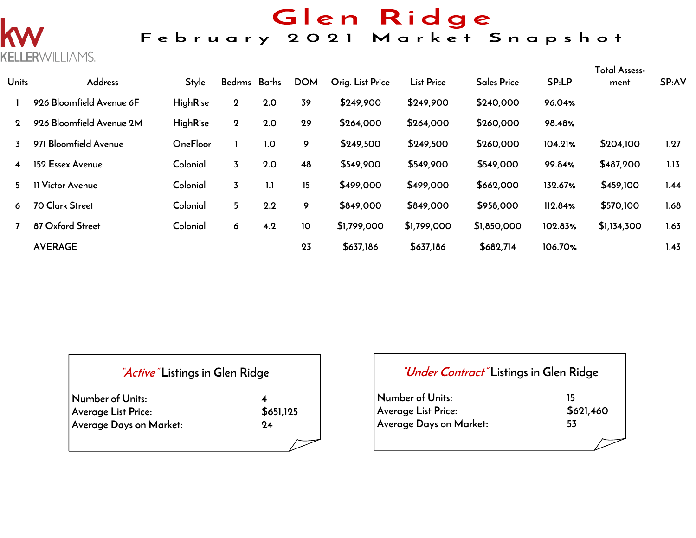# Glen Ridge

## February 2021 Market Snapshot



| <b>Units</b> | Address                  | <b>Style</b>    | Bedrms Baths |     | <b>DOM</b> | Orig. List Price | <b>List Price</b> | <b>Sales Price</b> | SP:LP   | <b>Total Assess-</b><br>ment | SP:AV |
|--------------|--------------------------|-----------------|--------------|-----|------------|------------------|-------------------|--------------------|---------|------------------------------|-------|
|              | 926 Bloomfield Avenue 6F | <b>HighRise</b> | $\mathbf 2$  | 2.0 | 39         | \$249,900        | \$249,900         | \$240,000          | 96.04%  |                              |       |
| $\Omega$     | 926 Bloomfield Avenue 2M | <b>HighRise</b> | $\mathbf 2$  | 2.0 | 29         | \$264,000        | \$264,000         | \$260,000          | 98.48%  |                              |       |
|              | 971 Bloomfield Avenue    | OneFloor        |              | 1.0 | 9          | \$249,500        | \$249,500         | \$260,000          | 104.21% | \$204,100                    | 1.27  |
| 4            | 152 Essex Avenue         | Colonial        | 3            | 2.0 | 48         | \$549,900        | \$549,900         | \$549,000          | 99.84%  | \$487,200                    | 1.13  |
| 5.           | 11 Victor Avenue         | Colonial        | 3            | 1.1 | 15         | \$499,000        | \$499,000         | \$662,000          | 132.67% | \$459,100                    | 1.44  |
| 6            | 70 Clark Street          | Colonial        | 5            | 2.2 | 9          | \$849,000        | \$849,000         | \$958,000          | 112.84% | \$570,100                    | 1.68  |
|              | 87 Oxford Street         | Colonial        | 6            | 4.2 | 10         | \$1,799,000      | \$1,799,000       | \$1,850,000        | 102.83% | \$1,134,300                  | 1.63  |
|              | <b>AVERAGE</b>           |                 |              |     | 23         | \$637,186        | \$637,186         | \$682,714          | 106.70% |                              | 1.43  |

| "Active" Listings in Glen Ridge |           |
|---------------------------------|-----------|
| Number of Units:                |           |
| Average List Price:             | \$651,125 |
| Average Days on Market:         | 94        |
|                                 |           |

| <i>"Under Contract"</i> Listings in Glen Ridge |           |  |  |  |  |  |  |  |
|------------------------------------------------|-----------|--|--|--|--|--|--|--|
| Number of Units:                               |           |  |  |  |  |  |  |  |
| Average List Price:                            | \$621,460 |  |  |  |  |  |  |  |
| Average Days on Market:                        | 53        |  |  |  |  |  |  |  |
|                                                |           |  |  |  |  |  |  |  |